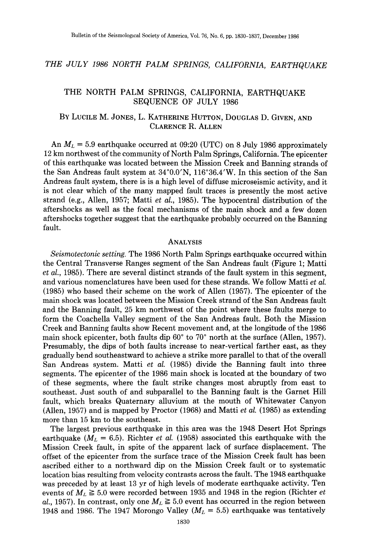# *THE JULY 1986 NORTH PALM SPRINGS, CALIFORNIA, EARTHQUAKE*

## THE NORTH PALM SPRINGS, CALIFORNIA, EARTHQUAKE SEQUENCE OF JULY 1986

# BY LUCILE M. JONES, L. KATHERINE HUTTON, DOUGLAS D. GIVEN, AND CLARENCE R. ALLEN

An  $M_L = 5.9$  earthquake occurred at 09:20 (UTC) on 8 July 1986 approximately 12 km northwest of the community of North Palm Springs, California. The epicenter of this earthquake was located between the Mission Creek and Banning strands of the San Andreas fault system at 34°0.0'N, 116°36.4'W. In this section of the San Andreas fault system, there is is a high level of diffuse microseismic activity, and it is not clear which of the many mapped fault traces is presently the most active strand (e.g., Allen, 1957; Matti *et aI.,* 1985). The hypocentral distribution of the aftershocks as well as the focal mechanisms of the main shock and a few dozen aftershocks together suggest that the earthquake probably occurred on the Banning fault.

## ANALYSIS

*Seismotectonic setting.* The 1986 North Palm Springs earthquake occurred within the Central Transverse Ranges segment of the San Andreas fault (Figure 1; Matti *et al.,* 1985). There are several distinct strands of the fault system in this segment, and various nomenclatures have been used for these strands. We follow Matti *et al.*  (1985) who based their scheme on the work of Allen (1957). The epicenter of the main shock was located between the Mission Creek strand of the San Andreas fault and the Banning fault, 25 km northwest of the point where these faults merge to form the Coachella Valley segment of the San Andreas fault. Both the Mission Creek and Banning faults show Recent movement and, at the longitude of the 1986 main shock epicenter, both faults dip  $60^{\circ}$  to  $70^{\circ}$  north at the surface (Allen, 1957). Presumably, the dips of both faults increase to near-vertical farther east, as they gradually bend southeastward to achieve a strike more parallel to that of the overall San Andreas system. Matti *et al.* (1985) divide the Banning fault into three segments. The epicenter of the 1986 main shock is located at the boundary of two of these segments, where the fault strike changes most abruptly from east to southeast. Just south of and subparallel to the Banning fault is the Garnet Hill fault, which breaks Quaternary alluvium at the mouth of Whitewater Canyon (Allen, 1957) and is mapped by Proctor (1968) and Matti *et al.* (1985) as extending more than 15 km to the southeast.

The largest previous earthquake in this area was the 1948 Desert Hot Springs earthquake  $(M_L = 6.5)$ . Richter *et al.* (1958) associated this earthquake with the Mission Creek fault, in spite of the apparent lack of surface displacement. The offset of the epicenter from the surface trace of the Mission Creek fault has been ascribed either to a northward dip on the Mission Creek fault or to systematic location bias resulting from velocity contrasts across the fault. The 1948 earthquake was preceded by at least 13 yr of high levels of moderate earthquake activity. Ten events of  $M_L \geq 5.0$  were recorded between 1935 and 1948 in the region (Richter *et al.*, 1957). In contrast, only one  $M_L \geq 5.0$  event has occurred in the region between 1948 and 1986. The 1947 Morongo Valley  $(M_L = 5.5)$  earthquake was tentatively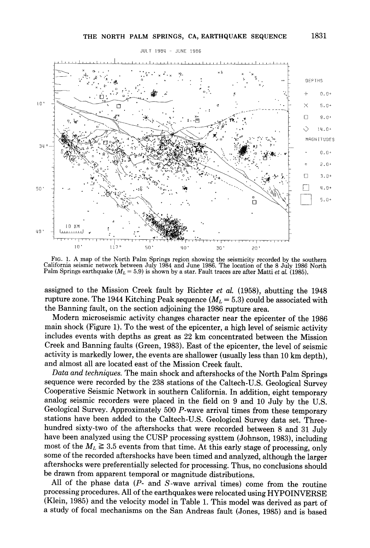

**FIG. 1. A map of the North Palm Springs region showing the seismicity recorded by the southern California seismic network between July 1984 and June 1986. The location of the 8 July 1986 North**  Palm Springs earthquake  $(M_L = 5.9)$  is shown by a star. Fault traces are after Matti *et al.* (1985).

**assigned to the Mission Creek fault by Richter** *et al.* **(1958), abutting the 1948**  rupture zone. The 1944 Kitching Peak sequence  $(M_L = 5.3)$  could be associated with **the Banning fault, on the section adjoining the 1986 rupture area.** 

**Modern microseismic activity changes character near the epicenter of the 1986 main shock (Figure 1). To the west of the epicenter, a high level of seismic activity includes events with depths as great as 22 km concentrated between the Mission Creek and Banning faults (Green, 1983). East of the epicenter, the level of seismic activity is markedly lower, the events are shallower (usually less than 10 km depth), and almost all are located east of the Mission Creek fault.** 

*Data and techniques.* **The main shock and aftershocks of the North Palm Springs sequence were recorded by the 238 stations of the Caltech-U.S. Geological Survey Cooperative Seismic Network in southern California. In addition, eight temporary analog seismic recorders were placed in the field on 9 and 10 July by the U.S. Geological Survey• Approximately 500 P-wave arrival times from these temporary stations have been added to the Caltech-U.S. Geological Survey data set. Threehundred sixty-two of the aftershocks that were recorded between 8 and 31 July have been analyzed using the CUSP processing systtem (Johnson, 1983), including**  most of the  $M_L \geq 3.5$  events from that time. At this early stage of processing, only **some of the recorded aftershocks have been timed and analyzed, although the larger aftershocks were preferentially selected for processing. Thus, no conclusions should be drawn from apparent temporal or magnitude distributions.** 

**All of the phase data (P- and S-wave arrival times) come from the routine processing procedures. All of the earthquakes were relocated using HYPOINVERSE (Klein, 1985) and the velocity model in Table 1. This model was derived as part of a study of focal mechanisms on the San Andreas fault (Jones, 1985) and is based**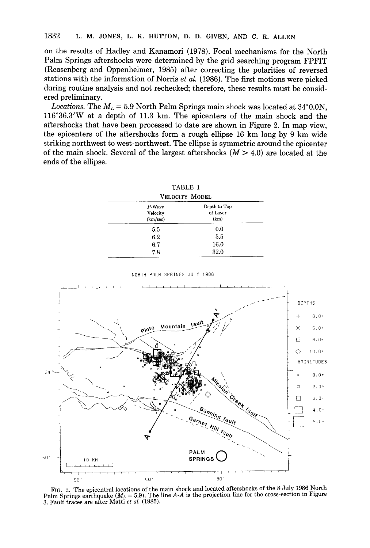**on the results of Hadley and Kanamori (1978). Focal mechanisms for the North Palm Springs aftershocks were determined by the grid searching program FPFIT (Reasenberg and Oppenheimer, 1985) after correcting the polarities of reversed stations with the information of Norris** *et al.* **(1986). The first motions were picked during routine analysis and not rechecked; therefore, these results must be considered preliminary.** 

*Locations.* The  $M_L = 5.9$  North Palm Springs main shock was located at  $34^{\circ}0.0$ N, **116°36.3'W at a depth of 11.3 km. The epicenters of the main shock and the aftershocks that have been processed to date are shown in Figure 2. In map view, the epicenters of the aftershocks form a rough ellipse 16 km long by 9 km wide striking northwest to west-northwest. The ellipse is symmetric around the epicenter**  of the main shock. Several of the largest aftershocks  $(M > 4.0)$  are located at the **ends of the ellipse.** 

| P-Wave   | Depth to Top |
|----------|--------------|
| Velocity | of Layer     |
| (km/sec) | (km)         |
| 5.5      | 0.0          |
| 6.2      | 5.5          |
| 6.7      | 16.0         |
| 7.8      | 32.0         |

TABLE 1



NORTH PALM SPRINGS JULT 198G

Fro. 2. **The epicentral locations of the main shock and located aftershocks of the 8 July 1986 North**  Palm Springs earthquake  $(M_L = 5.9)$ . The line  $A-A$  is the projection line for the cross-section in Figure 3. **Fault traces are alter Matti** *et aL* (1985).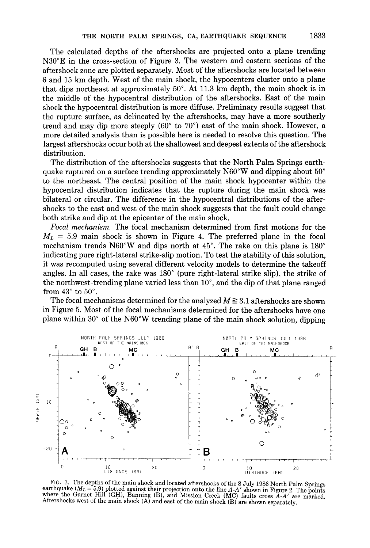The calculated depths of the aftershocks are projected onto a plane trending N30°E in the cross-section of Figure 3. The western and eastern sections of the aftershock zone are plotted separately. Most of the aftershocks are located between 6 and 15 km depth. West of the main shock, the hypocenters cluster onto a plane that dips northeast at approximately  $50^{\circ}$ . At 11.3 km depth, the main shock is in the middle of the hypocentral distribution of the aftershocks. East of the main shock the hypocentral distribution is more diffuse. Preliminary results suggest that the rupture surface, as delineated by the aftershocks, may have a more southerly trend and may dip more steeply  $(60^\circ$  to  $70^\circ)$  east of the main shock. However, a more detailed analysis than is possible here is needed to resolve this question. The largest aftershocks occur both at the shallowest and deepest extents of the aftershock distribution.

The distribution of the aftershocks suggests that the North Palm Springs earthquake ruptured on a surface trending approximately  $N60^{\circ}$ W and dipping about  $50^{\circ}$ to the northeast. The central position of the main shock hypocenter within the hypocentral distribution indicates that the rupture during the main shock was bilateral or circular. The difference in the hypocentral distributions of the aftershocks to the east and west of the main shock suggests that the fault could change both strike and dip at the epicenter of the main shock.

*Focal mechanism.* The focal mechanism determined from first motions for the  $M_L$  = 5.9 main shock is shown in Figure 4. The preferred plane in the focal mechanism trends  $N60^{\circ}$ W and dips north at 45°. The rake on this plane is 180° indicating pure right-lateral strike-slip motion. To test the stability of this solution, it was recomputed using several different velocity models to determine the takeoff angles. In all cases, the rake was  $180^\circ$  (pure right-lateral strike slip), the strike of the northwest-trending plane varied less than  $10^{\circ}$ , and the dip of that plane ranged from  $43^\circ$  to  $50^\circ$ .

The focal mechanisms determined for the analyzed  $M \geq 3.1$  aftershocks are shown in Figure 5. Most of the focal mechanisms determined for the aftershocks have one plane within 30 $^{\circ}$  of the N60 $^{\circ}$ W trending plane of the main shock solution, dipping



FIG. 3. The depths of the main shock and located aftershocks of the 8 July 1986 North Palm Springs earthquake (ML = 5.9) plotted against their projection onto the line *A-A'* shown in Figure 2. The points where the Garnet Hill (GH), Banning (B), and Mission Creek (MC) faults cross *A-A'* are marked. Aftershocks west of the main shock  $(A)$  and east of the main shock  $(B)$  are shown separately.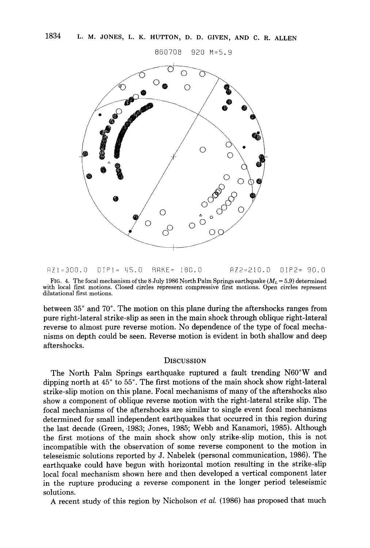850708 g20 M=S.g



AZI-300.O OIPI- LIS°O BAKE= 180.0 14Z2=210.0 OIP2= 90.0

FIG. 4. The focal mechanism of the 8 July 1986 North Palm Springs earthquake ( $M_L$  = 5.9) determined with local first motions. Closed circles represent compressive first motions. Open circles represent dilatational first motions.

between 35 ° and 70 °. The motion on this plane during the aftershocks ranges from pure right-lateral strike-slip as seen in the main shock through oblique right-lateral reverse to almost pure reverse motion. No dependence of the type of focal mechanisms on depth could be seen. Reverse motion is evident in both shallow and deep aftershocks.

## **DISCUSSION**

The North Palm Springs earthquake ruptured a fault trending N60°W and dipping north at 45 ° to 55 °. The first motions of the main shock show right-lateral strike-slip motion on this plane. Focal mechanisms of many of the aftershocks also show a component of oblique reverse motion with the right-lateral strike slip. The focal mechanisms of the aftershocks are similar to single event focal mechanisms determined for small independent earthquakes that occurred in this region during the last decade (Green,-1983; Jones, 1985; Webb and Kanamori, 1985). Although the first motions of the main shock show only strike-slip motion, this is not incompatible with the observation of some reverse component to the motion in teleseismic solutions reported by J. Nabelek (personal communication, 1986). The earthquake could have begun with horizontal motion resulting in the strike-slip local focal mechanism shown here and then developed a vertical component later in the rupture producing a reverse component in the longer period teleseismic solutions.

A recent study of this region by Nicholson *et al.* (1986) has proposed that much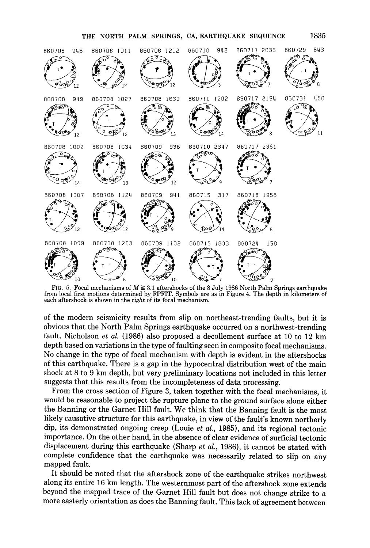#### THE NORTH PALM SPRINGS, CA, EARTHQUAKE SEQUENCE 1835



from local first motions determined by FPFIT. Symbols are as in Figure 4. The depth in kilometers of each aftershock is shown in the *right* of its focal mechanism.

of the modern seismicity results from slip on northeast-trending faults, but it is obvious that the North Palm Springs earthquake occurred on a northwest-trending fault. Nicholson *et al.* (1986) also proposed a decollement surface at 10 to 12 km depth based on variations in the type of faulting seen in composite focal mechanisms. No change in the type of focal mechanism with depth is evident in the aftershocks of this earthquake. There is a gap in the hypocentral distribution west of the main shock at 8 to 9 km depth, but very preliminary locations not included in this letter suggests that this results from the incompleteness of data processing.

From the cross section of Figure 3, taken together with the focal mechanisms, it would be reasonable to project the rupture plane to the ground surface alone either the Banning or the Garnet Hill fault. We think that the Banning fault is the most likely causative structure for this earthquake, in view of the fault's known northerly dip, its demonstrated ongoing creep (Louie *et al.,* 1985), and its regional tectonic importance. On the other hand, in the absence of clear evidence of surficial tectonic displacement during this earthquake (Sharp *et al.,* 1986), it cannot be stated with complete confidence that the earthquake was necessarily related to slip on any mapped fault.

It should be noted that the aftershock zone of the earthquake strikes northwest along its entire 16 km length. The westernmost part of the aftershock zone extends beyond the mapped trace of the Garnet Hill fault but does not change strike to a more easterly orientation as does the Banning fault. This lack of agreement between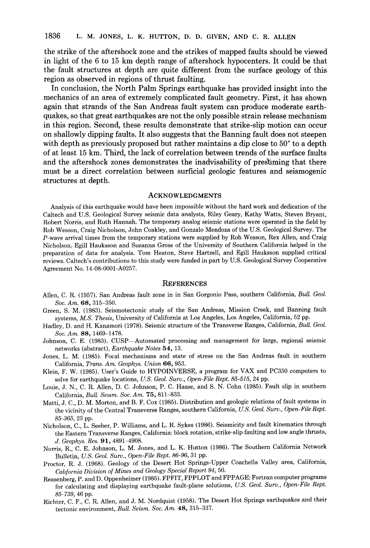**the strike of the aftershock zone and the strikes of mapped faults should be viewed in light of the 6 to 15 km depth range of aftershock hypocenters. It could be that the fault structures at depth are quite different from the surface geology of this region as observed in regions of thrust faulting.** 

**In conclusion, the North Palm Springs earthquake has provided insight into the mechanics of an area of extremely complicated fault geometry. First, it has shown again that strands of the San Andreas fault system can produce moderate earthquakes, so that great earthquakes are not the only possible strain release mechanism in this region. Second, these results demonstrate that strike-slip motion can occur on shallowly dipping faults. It also suggests that the Banning fault does not steepen**  with depth as previously proposed but rather maintains a dip close to 50<sup>°</sup> to a depth **of at least 15 kin. Third, the lack of correlation between trends of the surface faults and the aftershock zones demonstrates the inadvisability of presisming that there must be a direct correlation between surficial geologic features and seismogenic**  structures at depth.

### **ACKNOWLEDGMENTS**

Analysis of this earthquake would have been impossible without the hard work and dedication of the Caltech and U.S. Geological Survey seismic data analysts, Riley Geary, Kathy Watts, Steven Bryant, Robert Norris, and Ruth Hannah. The temporary analog seismic stations were operated in the field by Rob Wesson, Craig Nicholson, John Coakley, and Gonzalo Mendoza of the U.S. Geological Survey. The P-wave arrival times from the temporary stations were supplied by Rob Wesson, Rex Allen, and Craig Nicholson. Egill Hauksson and Susanna Gross of the University of Southern California helped in the preparation of data for analysis. Tom Heaton, Steve Hartzell, and Egill Hauksson supplied critical reviews. Caltech's contributions to this study were funded in part by U.S. Geological Survey Cooperative Agreement No. 14-08-0001-A0257.

### **REFERENCES**

- Allen, C. R. (1957). San Andreas fault zone in in San Gorgonio Pass, southern California, *Bull. Geol. Soc. Am.* 68, 315-350.
- Green, S. M. (1983). Seismotectonic study of the San Andreas, Mission Creek, and Banning fault systems, *M.S. Thesis,* University of California at Los Angeles, Los Angeles, California, 52 pp.
- Hadley, D. and H. Kanamori (1978). Seismic structure of the Transverse Ranges, California, *Bull. Geol. Soc. Am.* 88, 1469-1478.
- Johnson, C. E. (1983). CUSP--Automated processing and management for large, regional seismic networks (abstract), *Earthquake Notes* 54, 13.
- Jones, L. M. (1985). Focal mechanisms and state of stress on the San Andreas fault in southern California, *Trans. Am. Geophys. Union* 66, 953.
- Klein, F. W. (1985). User's Guide to HYPOINVERSE, a program for VAX and PC350 computers to solve for earthquake locations, *U.S. Geol. Surv., Open-File Rept. 85-515,* 24 pp.
- Louie, J. N., C. R. Allen, D. C. Johnson, P. C. Haase, and S. N. Cohn (1985). Fault slip in southern California, *Bull. Sevsm. Soc. Am.* **75,** 811-833.
- Matti, J. C., D. M. Morton, and B. F. Cox (1985). Distribution and geologic relations of fault systems in the vicinity of the Central Transverse Ranges, southern California, *U.S. Geol. Surv., Open-File Rept. 85-365,* 23 pp.
- Nicholson, C., L. Seeber, P. Williams, and L. R. Sykes (1986). Seismicity and fault kinematics through the Eastern Transverse Ranges, California: block rotation, strike-slip faulting and low angle thrusts, *J. Geophys. Res.* 91, 4891-4908.
- Norris, R., C. E. Johnson, L. M. Jones, and L. K. Hutton (1986). The Southern California Network Bulletin, *U.S. Geol. Surv., Open-File Rept. 86-96,* 31 pp.
- Proctor, R. J. (1968). Geology of the Desert Hot Springs-Upper Coachella Valley area, California, *Cah/ornia Division of Mines and Geology Special Report 94,* 50.
- Reasenberg, P. and D. Oppenheimer (1985). FPFIT, FPPLOT and FPPAGE: Fortran computer programs for calculating and displaying earthquake fault-plane solutions, *U.S. Geol. Surv., Open-File Rept. 85-739,* 46 pp.
- Richter, C. F., C. R. Allen, and J. M. Nordquist (1958). The Desert Hot Springs earthquakes and their tectonic environment, *Bull. Seism. Soc. Am.* 48, 315-337.